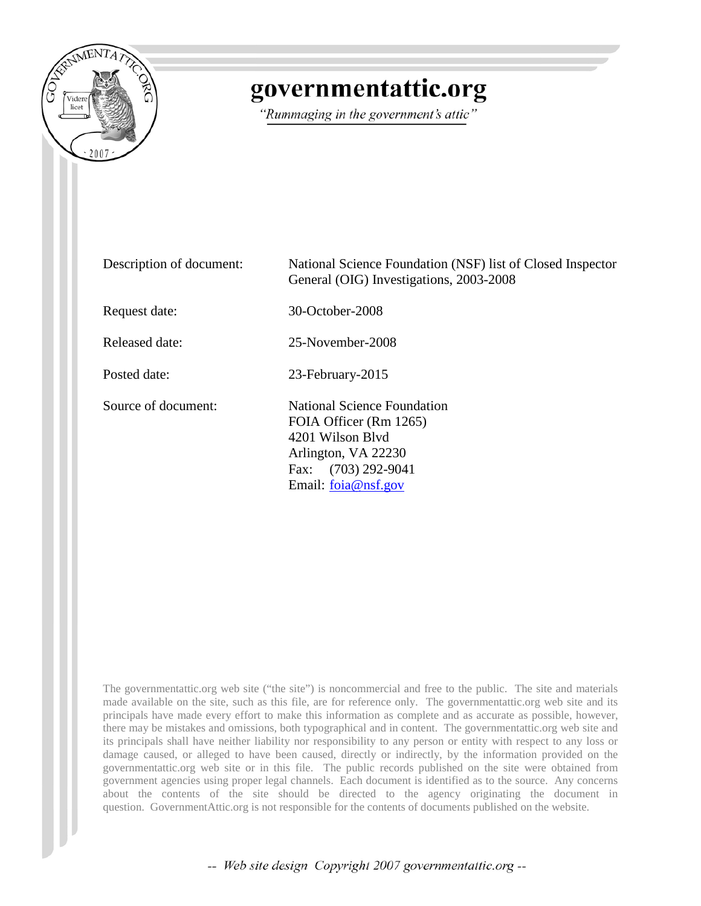

## governmentattic.org

"Rummaging in the government's attic"

| Description of document: | National Science Foundation (NSF) list of Closed Inspector<br>General (OIG) Investigations, 2003-2008                                            |
|--------------------------|--------------------------------------------------------------------------------------------------------------------------------------------------|
| Request date:            | 30-October-2008                                                                                                                                  |
| Released date:           | 25-November-2008                                                                                                                                 |
| Posted date:             | 23-February-2015                                                                                                                                 |
| Source of document:      | National Science Foundation<br>FOIA Officer (Rm 1265)<br>4201 Wilson Blyd<br>Arlington, VA 22230<br>Fax: (703) 292-9041<br>Email: $foia@nsf.gov$ |

The governmentattic.org web site ("the site") is noncommercial and free to the public. The site and materials made available on the site, such as this file, are for reference only. The governmentattic.org web site and its principals have made every effort to make this information as complete and as accurate as possible, however, there may be mistakes and omissions, both typographical and in content. The governmentattic.org web site and its principals shall have neither liability nor responsibility to any person or entity with respect to any loss or damage caused, or alleged to have been caused, directly or indirectly, by the information provided on the governmentattic.org web site or in this file. The public records published on the site were obtained from government agencies using proper legal channels. Each document is identified as to the source. Any concerns about the contents of the site should be directed to the agency originating the document in question. GovernmentAttic.org is not responsible for the contents of documents published on the website.

-- Web site design Copyright 2007 governmentattic.org --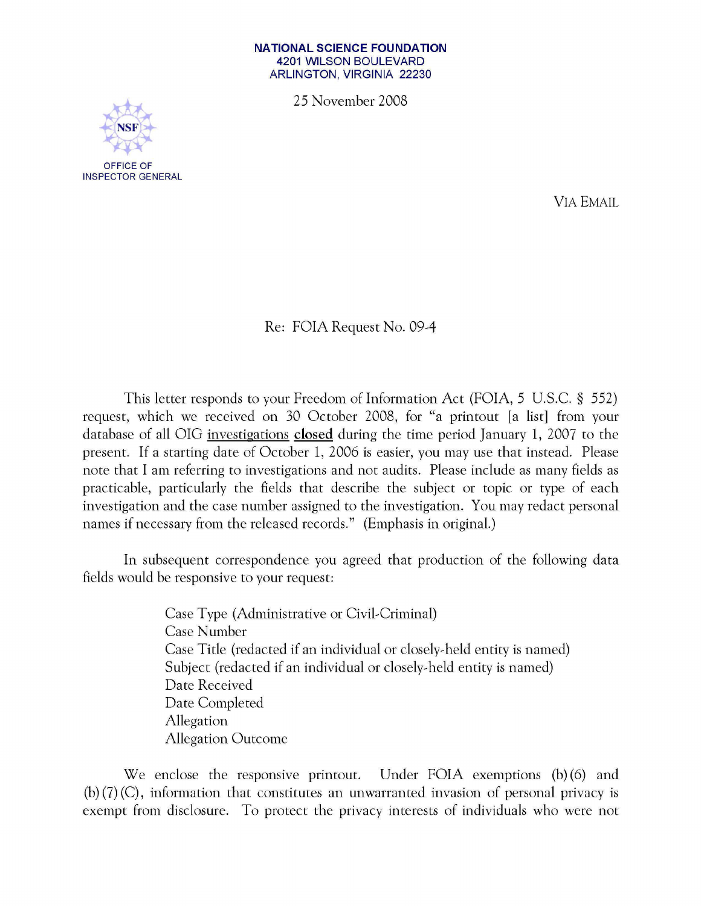## **NATIONAL SCIENCE FOUNDATION**  4201 WILSON BOULEVARD ARLINGTON, VIRGINIA 22230

25 November 2008



VIA EMAIL

Re: FOIA Request No. *09A* 

This letter responds to your Freedom of Information Act (FOIA, 5 U.S.C. § 552) request, which we received on 30 October 2008, for "a printout [a list] from your database of all OIG investigations closed during the time period January 1, 2007 to the present. If a starting date of October 1, 2006 is easier, you may use that instead. Please note that I am referring to investigations and not audits. Please include as many fields as practicable, particularly the fields that describe the subject or topic or type of each investigation and the case number assigned to the investigation. You may redact personal names if necessary from the released records." (Emphasis in original.)

In subsequent correspondence you agreed that production of the following data fields would be responsive to your request:

> Case Type (Administrative or Civil~Criminal) Case Number Case Title (redacted if an individual or closely~held entity is named) Subject (redacted if an individual or closely~held entity is named) Date Received Date Completed Allegation Allegation Outcome

We enclose the responsive printout. Under FOIA exemptions (b) (6) and (b) (7) (C), information that constitutes an unwarranted invasion of personal privacy is exempt from disclosure. To protect the privacy interests of individuals who were not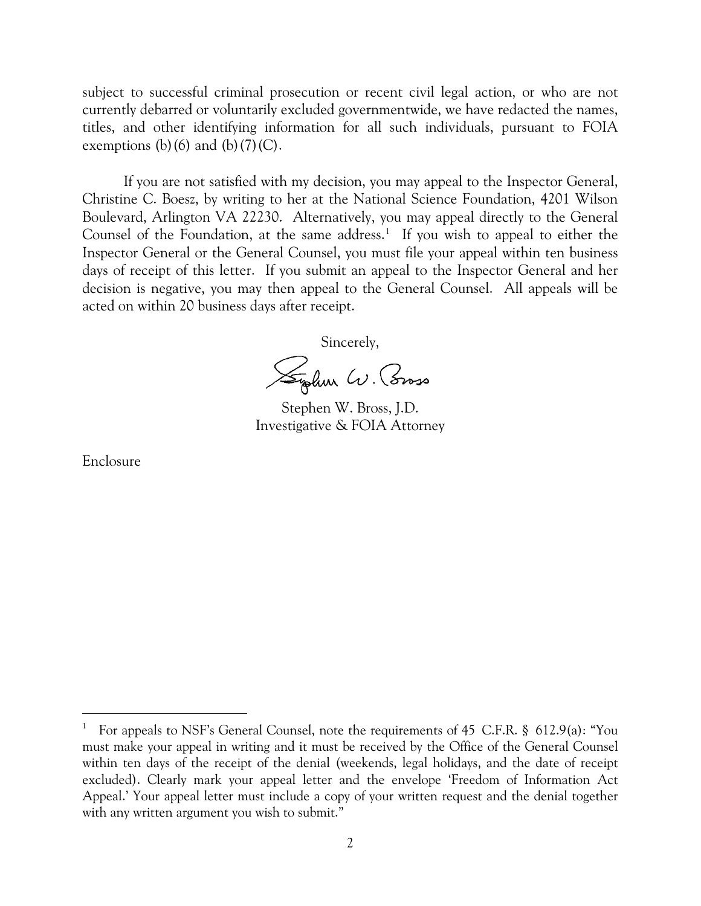subject to successful criminal prosecution or recent civil legal action, or who are not currently debarred or voluntarily excluded governmentwide, we have redacted the names, titles, and other identifying information for all such individuals, pursuant to FOIA exemptions (b)(6) and (b)(7)(C).

If you are not satisfied with my decision, you may appeal to the Inspector General, Christine C. Boesz, by writing to her at the National Science Foundation, 4201 Wilson Boulevard, Arlington VA 22230. Alternatively, you may appeal directly to the General Counsel of the Foundation, at the same address.<sup>[1](#page-2-0)</sup> If you wish to appeal to either the Inspector General or the General Counsel, you must file your appeal within ten business days of receipt of this letter. If you submit an appeal to the Inspector General and her decision is negative, you may then appeal to the General Counsel. All appeals will be acted on within 20 business days after receipt.

Sincerely,

Sydem W. Coroso

Stephen W. Bross, J.D. Investigative & FOIA Attorney

Enclosure

 $\overline{a}$ 

<span id="page-2-0"></span><sup>&</sup>lt;sup>1</sup> For appeals to NSF's General Counsel, note the requirements of 45 C.F.R. § 612.9(a): "You must make your appeal in writing and it must be received by the Office of the General Counsel within ten days of the receipt of the denial (weekends, legal holidays, and the date of receipt excluded). Clearly mark your appeal letter and the envelope 'Freedom of Information Act Appeal.' Your appeal letter must include a copy of your written request and the denial together with any written argument you wish to submit."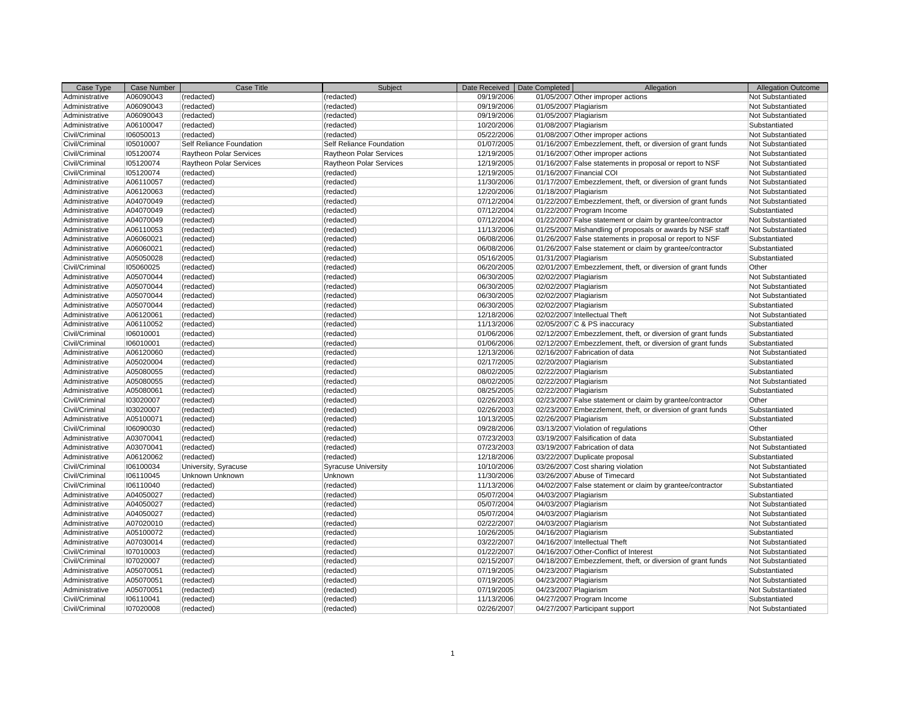| Case Type      | <b>Case Number</b> | Case Title                     | Subject                        | Date Received | Date Completed        | Allegation                                                  | <b>Allegation Outcome</b> |
|----------------|--------------------|--------------------------------|--------------------------------|---------------|-----------------------|-------------------------------------------------------------|---------------------------|
| Administrative | A06090043          | (redacted)                     | (redacted)                     | 09/19/2006    |                       | 01/05/2007 Other improper actions                           | Not Substantiated         |
| Administrative | A06090043          | (redacted)                     | (redacted)                     | 09/19/2006    | 01/05/2007 Plagiarism |                                                             | Not Substantiated         |
| Administrative | A06090043          | (redacted)                     | (redacted)                     | 09/19/2006    | 01/05/2007 Plagiarism |                                                             | Not Substantiated         |
| Administrative | A06100047          | (redacted)                     | (redacted)                     | 10/20/2006    | 01/08/2007 Plagiarism |                                                             | Substantiated             |
| Civil/Criminal | 106050013          | (redacted)                     | (redacted)                     | 05/22/2006    |                       | 01/08/2007 Other improper actions                           | Not Substantiated         |
| Civil/Criminal | 105010007          | Self Reliance Foundation       | Self Reliance Foundation       | 01/07/2005    |                       | 01/16/2007 Embezzlement, theft, or diversion of grant funds | Not Substantiated         |
| Civil/Criminal | 105120074          | <b>Raytheon Polar Services</b> | <b>Raytheon Polar Services</b> | 12/19/2005    |                       | 01/16/2007 Other improper actions                           | Not Substantiated         |
| Civil/Criminal | 105120074          | <b>Raytheon Polar Services</b> | Raytheon Polar Services        | 12/19/2005    |                       | 01/16/2007 False statements in proposal or report to NSF    | <b>Not Substantiated</b>  |
| Civil/Criminal | 105120074          | (redacted)                     | (redacted)                     | 12/19/2005    |                       | 01/16/2007 Financial COI                                    | Not Substantiated         |
| Administrative | A06110057          | (redacted)                     | (redacted)                     | 11/30/2006    |                       | 01/17/2007 Embezzlement, theft, or diversion of grant funds | Not Substantiated         |
| Administrative | A06120063          | (redacted)                     | (redacted)                     | 12/20/2006    | 01/18/2007 Plagiarism |                                                             | Not Substantiated         |
| Administrative | A04070049          | (redacted)                     | (redacted)                     | 07/12/2004    |                       | 01/22/2007 Embezzlement, theft, or diversion of grant funds | Not Substantiated         |
| Administrative | A04070049          | (redacted)                     | (redacted)                     | 07/12/2004    |                       | 01/22/2007 Program Income                                   | Substantiated             |
| Administrative | A04070049          | (redacted)                     | (redacted)                     | 07/12/2004    |                       | 01/22/2007 False statement or claim by grantee/contractor   | Not Substantiated         |
| Administrative | A06110053          | (redacted)                     | (redacted)                     | 11/13/2006    |                       | 01/25/2007 Mishandling of proposals or awards by NSF staff  | Not Substantiated         |
| Administrative | A06060021          | (redacted)                     | (redacted)                     | 06/08/2006    |                       | 01/26/2007 False statements in proposal or report to NSF    | Substantiated             |
| Administrative | A06060021          | (redacted)                     | (redacted)                     | 06/08/2006    |                       | 01/26/2007 False statement or claim by grantee/contractor   | Substantiated             |
| Administrative | A05050028          | (redacted)                     | (redacted)                     | 05/16/2005    | 01/31/2007 Plagiarism |                                                             | Substantiated             |
| Civil/Criminal | 105060025          | (redacted)                     | (redacted)                     | 06/20/2005    |                       | 02/01/2007 Embezzlement, theft, or diversion of grant funds | Other                     |
| Administrative | A05070044          | (redacted)                     | (redacted)                     | 06/30/2005    | 02/02/2007 Plagiarism |                                                             | Not Substantiated         |
| Administrative | A05070044          | (redacted)                     | (redacted)                     | 06/30/2005    | 02/02/2007 Plagiarism |                                                             | Not Substantiated         |
| Administrative | A05070044          | (redacted)                     | (redacted)                     | 06/30/2005    | 02/02/2007 Plagiarism |                                                             | Not Substantiated         |
| Administrative | A05070044          | (redacted)                     | (redacted)                     | 06/30/2005    | 02/02/2007 Plagiarism |                                                             | Substantiated             |
| Administrative | A06120061          | (redacted)                     | (redacted)                     | 12/18/2006    |                       | 02/02/2007 Intellectual Theft                               | Not Substantiated         |
| Administrative | A06110052          | (redacted)                     | (redacted)                     | 11/13/2006    |                       | 02/05/2007 C & PS inaccuracy                                | Substantiated             |
| Civil/Criminal | 106010001          | (redacted)                     | (redacted)                     | 01/06/2006    |                       | 02/12/2007 Embezzlement, theft, or diversion of grant funds | Substantiated             |
| Civil/Criminal | 106010001          | (redacted)                     | (redacted)                     | 01/06/2006    |                       | 02/12/2007 Embezzlement, theft, or diversion of grant funds | Substantiated             |
| Administrative | A06120060          | (redacted)                     | (redacted)                     | 12/13/2006    |                       | 02/16/2007 Fabrication of data                              | Not Substantiated         |
| Administrative | A05020004          | (redacted)                     | (redacted)                     | 02/17/2005    | 02/20/2007 Plagiarism |                                                             | Substantiated             |
| Administrative | A05080055          | (redacted)                     | (redacted)                     | 08/02/2005    | 02/22/2007 Plagiarism |                                                             | Substantiated             |
| Administrative | A05080055          | (redacted)                     | (redacted)                     | 08/02/2005    | 02/22/2007 Plagiarism |                                                             | <b>Not Substantiated</b>  |
| Administrative | A05080061          | (redacted)                     | (redacted)                     | 08/25/2005    | 02/22/2007 Plagiarism |                                                             | Substantiated             |
| Civil/Criminal | 103020007          | (redacted)                     | (redacted)                     | 02/26/2003    |                       | 02/23/2007 False statement or claim by grantee/contractor   | Other                     |
| Civil/Criminal | 103020007          | (redacted)                     | (redacted)                     | 02/26/2003    |                       | 02/23/2007 Embezzlement, theft, or diversion of grant funds | Substantiated             |
| Administrative | A05100071          | (redacted)                     | (redacted)                     | 10/13/2005    | 02/26/2007 Plagiarism |                                                             | Substantiated             |
| Civil/Criminal | 106090030          | (redacted)                     | (redacted)                     | 09/28/2006    |                       | 03/13/2007 Violation of regulations                         | Other                     |
| Administrative | A03070041          | (redacted)                     | (redacted)                     | 07/23/2003    |                       | 03/19/2007 Falsification of data                            | Substantiated             |
| Administrative | A03070041          | (redacted)                     | (redacted)                     | 07/23/2003    |                       | 03/19/2007 Fabrication of data                              | Not Substantiated         |
| Administrative | A06120062          | (redacted)                     | (redacted)                     | 12/18/2006    |                       | 03/22/2007 Duplicate proposal                               | Substantiated             |
| Civil/Criminal | 106100034          | University, Syracuse           | <b>Syracuse University</b>     | 10/10/2006    |                       | 03/26/2007 Cost sharing violation                           | <b>Not Substantiated</b>  |
| Civil/Criminal | 106110045          | Unknown Unknown                | Unknown                        | 11/30/2006    |                       | 03/26/2007 Abuse of Timecard                                | Not Substantiated         |
| Civil/Criminal | 106110040          | (redacted)                     | (redacted)                     | 11/13/2006    |                       | 04/02/2007 False statement or claim by grantee/contractor   | Substantiated             |
| Administrative | A04050027          | (redacted)                     | (redacted)                     | 05/07/2004    | 04/03/2007 Plagiarism |                                                             | Substantiated             |
| Administrative | A04050027          | (redacted)                     | (redacted)                     | 05/07/2004    | 04/03/2007 Plagiarism |                                                             | Not Substantiated         |
| Administrative | A04050027          | (redacted)                     | (redacted)                     | 05/07/2004    | 04/03/2007 Plagiarism |                                                             | Not Substantiated         |
| Administrative | A07020010          | (redacted)                     | (redacted)                     | 02/22/2007    | 04/03/2007 Plagiarism |                                                             | Not Substantiated         |
| Administrative | A05100072          | (redacted)                     | (redacted)                     | 10/26/2005    | 04/16/2007 Plagiarism |                                                             | Substantiated             |
| Administrative | A07030014          | (redacted)                     | (redacted)                     | 03/22/2007    |                       | 04/16/2007 Intellectual Theft                               | Not Substantiated         |
| Civil/Criminal | 107010003          | (redacted)                     | (redacted)                     | 01/22/2007    |                       | 04/16/2007 Other-Conflict of Interest                       | Not Substantiated         |
| Civil/Criminal | 107020007          | (redacted)                     | (redacted)                     | 02/15/2007    |                       | 04/18/2007 Embezzlement, theft, or diversion of grant funds | Not Substantiated         |
| Administrative | A05070051          | (redacted)                     | (redacted)                     | 07/19/2005    | 04/23/2007 Plagiarism |                                                             | Substantiated             |
| Administrative | A05070051          | (redacted)                     | (redacted)                     | 07/19/2005    | 04/23/2007 Plagiarism |                                                             | <b>Not Substantiated</b>  |
| Administrative | A05070051          | (redacted)                     | (redacted)                     | 07/19/2005    | 04/23/2007 Plagiarism |                                                             | Not Substantiated         |
| Civil/Criminal | 106110041          | (redacted)                     | (redacted)                     | 11/13/2006    |                       | 04/27/2007 Program Income                                   | Substantiated             |
| Civil/Criminal | 107020008          | (redacted)                     | (redacted)                     | 02/26/2007    |                       | 04/27/2007 Participant support                              | <b>Not Substantiated</b>  |
|                |                    |                                |                                |               |                       |                                                             |                           |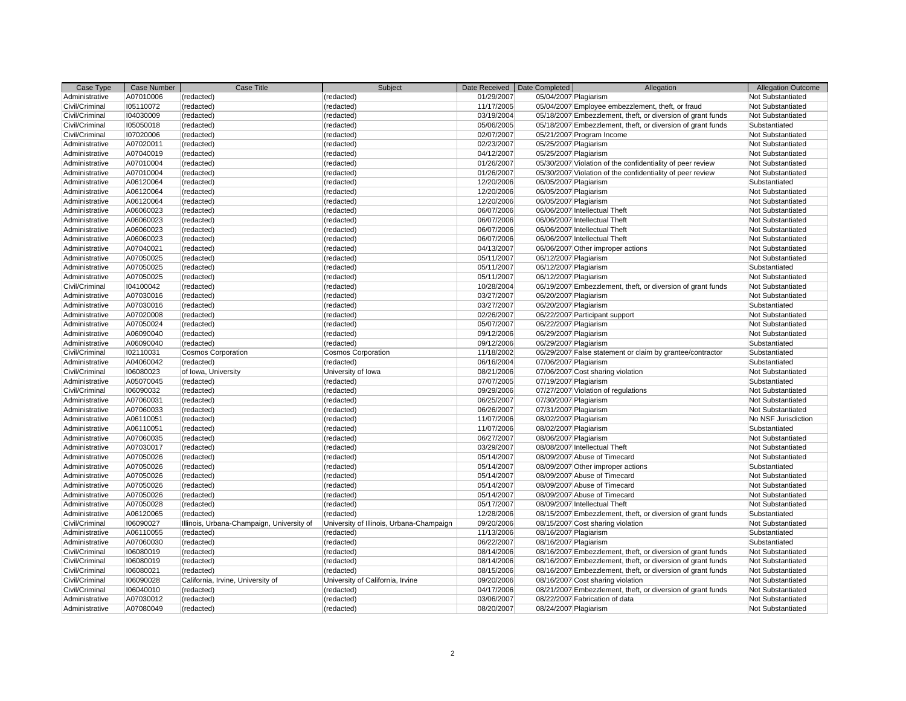| Case Type      | <b>Case Number</b> | Case Title                                | Subject                                  |            | Date Received   Date Completed | Allegation                                                  | <b>Allegation Outcome</b> |
|----------------|--------------------|-------------------------------------------|------------------------------------------|------------|--------------------------------|-------------------------------------------------------------|---------------------------|
| Administrative | A07010006          | (redacted)                                | (redacted)                               | 01/29/2007 | 05/04/2007 Plagiarism          |                                                             | Not Substantiated         |
| Civil/Criminal | 105110072          | (redacted)                                | (redacted)                               | 11/17/2005 |                                | 05/04/2007 Employee embezzlement, theft, or fraud           | Not Substantiated         |
| Civil/Criminal | 104030009          | (redacted)                                | (redacted)                               | 03/19/2004 |                                | 05/18/2007 Embezzlement, theft, or diversion of grant funds | Not Substantiated         |
| Civil/Criminal | 105050018          | (redacted)                                | (redacted)                               | 05/06/2005 |                                | 05/18/2007 Embezzlement, theft, or diversion of grant funds | Substantiated             |
| Civil/Criminal | 107020006          | (redacted)                                | (redacted)                               | 02/07/2007 |                                | 05/21/2007 Program Income                                   | Not Substantiated         |
| Administrative | A07020011          | (redacted)                                | (redacted)                               | 02/23/2007 | 05/25/2007 Plagiarism          |                                                             | Not Substantiated         |
| Administrative | A07040019          | (redacted)                                | (redacted)                               | 04/12/2007 | 05/25/2007 Plagiarism          |                                                             | Not Substantiated         |
| Administrative | A07010004          | (redacted)                                | (redacted)                               | 01/26/2007 |                                | 05/30/2007 Violation of the confidentiality of peer review  | Not Substantiated         |
| Administrative | A07010004          | (redacted)                                | (redacted)                               | 01/26/2007 |                                | 05/30/2007 Violation of the confidentiality of peer review  | Not Substantiated         |
| Administrative | A06120064          | (redacted)                                | (redacted)                               | 12/20/2006 | 06/05/2007 Plagiarism          |                                                             | Substantiated             |
| Administrative | A06120064          | (redacted)                                | (redacted)                               | 12/20/2006 | 06/05/2007 Plagiarism          |                                                             | Not Substantiated         |
| Administrative | A06120064          | (redacted)                                | (redacted)                               | 12/20/2006 | 06/05/2007 Plagiarism          |                                                             | Not Substantiated         |
| Administrative | A06060023          | (redacted)                                | (redacted)                               | 06/07/2006 |                                | 06/06/2007 Intellectual Theft                               | Not Substantiated         |
| Administrative | A06060023          | (redacted)                                | (redacted)                               | 06/07/2006 |                                | 06/06/2007 Intellectual Theft                               | Not Substantiated         |
| Administrative | A06060023          | (redacted)                                | (redacted)                               | 06/07/2006 |                                | 06/06/2007 Intellectual Theft                               | Not Substantiated         |
| Administrative | A06060023          | (redacted)                                | (redacted)                               | 06/07/2006 |                                | 06/06/2007 Intellectual Theft                               | Not Substantiated         |
| Administrative | A07040021          | (redacted)                                | (redacted)                               | 04/13/2007 |                                | 06/06/2007 Other improper actions                           | Not Substantiated         |
| Administrative | A07050025          | (redacted)                                | (redacted)                               | 05/11/2007 | 06/12/2007 Plagiarism          |                                                             | Not Substantiated         |
| Administrative | A07050025          | (redacted)                                | (redacted)                               | 05/11/2007 | 06/12/2007 Plagiarism          |                                                             | Substantiated             |
| Administrative | A07050025          | (redacted)                                | (redacted)                               | 05/11/2007 | 06/12/2007 Plagiarism          |                                                             | Not Substantiated         |
| Civil/Criminal | 104100042          | (redacted)                                | (redacted)                               | 10/28/2004 |                                | 06/19/2007 Embezzlement, theft, or diversion of grant funds | Not Substantiated         |
| Administrative | A07030016          | (redacted)                                | (redacted)                               | 03/27/2007 | 06/20/2007 Plagiarism          |                                                             | Not Substantiated         |
| Administrative | A07030016          | (redacted)                                | (redacted)                               | 03/27/2007 | 06/20/2007 Plagiarism          |                                                             | Substantiated             |
| Administrative | A07020008          | (redacted)                                | (redacted)                               | 02/26/2007 |                                | 06/22/2007 Participant support                              | Not Substantiated         |
| Administrative | A07050024          | (redacted)                                | (redacted)                               | 05/07/2007 | 06/22/2007 Plagiarism          |                                                             | Not Substantiated         |
| Administrative | A06090040          | (redacted)                                | (redacted)                               | 09/12/2006 | 06/29/2007 Plagiarism          |                                                             | Not Substantiated         |
| Administrative | A06090040          | (redacted)                                | (redacted)                               | 09/12/2006 | 06/29/2007 Plagiarism          |                                                             | Substantiated             |
| Civil/Criminal | 102110031          | <b>Cosmos Corporation</b>                 | <b>Cosmos Corporation</b>                | 11/18/2002 |                                | 06/29/2007 False statement or claim by grantee/contractor   | Substantiated             |
| Administrative | A04060042          | (redacted)                                | (redacted)                               | 06/16/2004 | 07/06/2007 Plagiarism          |                                                             | Substantiated             |
| Civil/Criminal | 106080023          | of Iowa, University                       | University of Iowa                       | 08/21/2006 |                                | 07/06/2007 Cost sharing violation                           | Not Substantiated         |
| Administrative | A05070045          | (redacted)                                | (redacted)                               | 07/07/2005 | 07/19/2007 Plagiarism          |                                                             | Substantiated             |
| Civil/Criminal | 106090032          | (redacted)                                | (redacted)                               | 09/29/2006 |                                | 07/27/2007 Violation of regulations                         | Not Substantiated         |
| Administrative | A07060031          | (redacted)                                | (redacted)                               | 06/25/2007 | 07/30/2007 Plagiarism          |                                                             | Not Substantiated         |
| Administrative | A07060033          | (redacted)                                | (redacted)                               | 06/26/2007 | 07/31/2007 Plagiarism          |                                                             | Not Substantiated         |
| Administrative | A06110051          | (redacted)                                | (redacted)                               | 11/07/2006 | 08/02/2007 Plagiarism          |                                                             | No NSF Jurisdiction       |
| Administrative | A06110051          | (redacted)                                | (redacted)                               | 11/07/2006 | 08/02/2007 Plagiarism          |                                                             | Substantiated             |
| Administrative | A07060035          | (redacted)                                | (redacted)                               | 06/27/2007 | 08/06/2007 Plagiarism          |                                                             | Not Substantiated         |
| Administrative | A07030017          | (redacted)                                | (redacted)                               | 03/29/2007 |                                | 08/08/2007 Intellectual Theft                               | Not Substantiated         |
| Administrative | A07050026          | (redacted)                                | (redacted)                               | 05/14/2007 |                                | 08/09/2007 Abuse of Timecard                                | Not Substantiated         |
| Administrative | A07050026          | (redacted)                                | (redacted)                               | 05/14/2007 |                                | 08/09/2007 Other improper actions                           | Substantiated             |
| Administrative | A07050026          | (redacted)                                | (redacted)                               | 05/14/2007 |                                | 08/09/2007 Abuse of Timecard                                | Not Substantiated         |
| Administrative | A07050026          | (redacted)                                | (redacted)                               | 05/14/2007 |                                | 08/09/2007 Abuse of Timecard                                | Not Substantiated         |
| Administrative | A07050026          | (redacted)                                | (redacted)                               | 05/14/2007 |                                | 08/09/2007 Abuse of Timecard                                | Not Substantiated         |
| Administrative | A07050028          | (redacted)                                | (redacted)                               | 05/17/2007 |                                | 08/09/2007 Intellectual Theft                               | Not Substantiated         |
| Administrative | A06120065          | (redacted)                                | (redacted)                               | 12/28/2006 |                                | 08/15/2007 Embezzlement, theft, or diversion of grant funds | Substantiated             |
| Civil/Criminal | 106090027          | Illinois, Urbana-Champaign, University of | University of Illinois, Urbana-Champaign | 09/20/2006 |                                | 08/15/2007 Cost sharing violation                           | Not Substantiated         |
| Administrative | A06110055          | (redacted)                                | (redacted)                               | 11/13/2006 | 08/16/2007 Plagiarism          |                                                             | Substantiated             |
| Administrative | A07060030          | (redacted)                                | (redacted)                               | 06/22/2007 | 08/16/2007 Plagiarism          |                                                             | Substantiated             |
| Civil/Criminal | 106080019          | (redacted)                                | (redacted)                               | 08/14/2006 |                                | 08/16/2007 Embezzlement, theft, or diversion of grant funds | Not Substantiated         |
| Civil/Criminal | 106080019          | (redacted)                                | (redacted)                               | 08/14/2006 |                                | 08/16/2007 Embezzlement, theft, or diversion of grant funds | Not Substantiated         |
| Civil/Criminal | 106080021          | (redacted)                                | (redacted)                               | 08/15/2006 |                                | 08/16/2007 Embezzlement, theft, or diversion of grant funds | Not Substantiated         |
| Civil/Criminal | 106090028          | California, Irvine, University of         | University of California, Irvine         | 09/20/2006 |                                | 08/16/2007 Cost sharing violation                           | Not Substantiated         |
| Civil/Criminal | 106040010          | (redacted)                                | (redacted)                               | 04/17/2006 |                                | 08/21/2007 Embezzlement, theft, or diversion of grant funds | Not Substantiated         |
| Administrative | A07030012          | (redacted)                                | (redacted)                               | 03/06/2007 |                                | 08/22/2007 Fabrication of data                              | Not Substantiated         |
| Administrative | A07080049          | (redacted)                                | (redacted)                               | 08/20/2007 |                                |                                                             | Not Substantiated         |
|                |                    |                                           |                                          |            | 08/24/2007 Plagiarism          |                                                             |                           |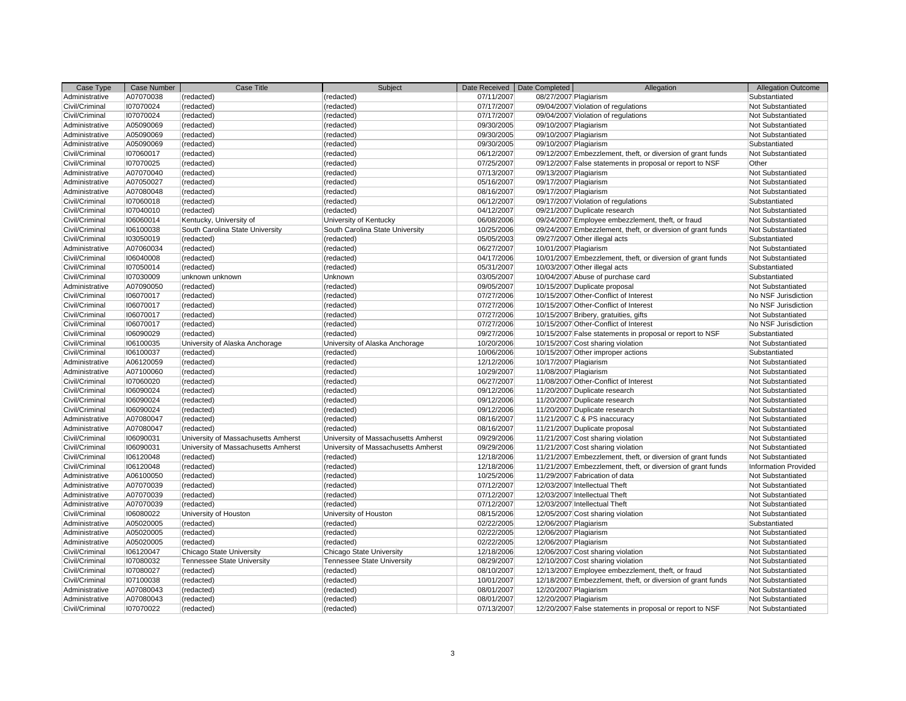| Case Type                        | <b>Case Number</b>     | Case Title                                             | Subject                                                       | Date Received            | Date Completed        | Allegation                                                             | <b>Allegation Outcome</b>              |
|----------------------------------|------------------------|--------------------------------------------------------|---------------------------------------------------------------|--------------------------|-----------------------|------------------------------------------------------------------------|----------------------------------------|
| Administrative                   | A07070038              | (redacted)                                             | (redacted)                                                    | 07/11/2007               | 08/27/2007 Plagiarism |                                                                        | Substantiated                          |
| Civil/Criminal                   | 107070024              | (redacted)                                             | (redacted)                                                    | 07/17/2007               |                       | 09/04/2007 Violation of regulations                                    | Not Substantiated                      |
| Civil/Criminal                   | 107070024              | (redacted)                                             | (redacted)                                                    | 07/17/2007               |                       | 09/04/2007 Violation of regulations                                    | Not Substantiated                      |
| Administrative                   | A05090069              | (redacted)                                             | (redacted)                                                    | 09/30/2005               | 09/10/2007 Plagiarism |                                                                        | Not Substantiated                      |
| Administrative                   | A05090069              | (redacted)                                             | (redacted)                                                    | 09/30/2005               | 09/10/2007 Plagiarism |                                                                        | Not Substantiated                      |
| Administrative                   | A05090069              | (redacted)                                             | (redacted)                                                    | 09/30/2005               | 09/10/2007 Plagiarism |                                                                        | Substantiated                          |
| Civil/Criminal                   | 107060017              | (redacted)                                             | (redacted)                                                    | 06/12/2007               |                       | 09/12/2007 Embezzlement, theft, or diversion of grant funds            | Not Substantiated                      |
| Civil/Criminal                   | 107070025              | (redacted)                                             | (redacted)                                                    | 07/25/2007               |                       | 09/12/2007 False statements in proposal or report to NSF               | Other                                  |
| Administrative                   | A07070040              | (redacted)                                             | (redacted)                                                    | 07/13/2007               | 09/13/2007 Plagiarism |                                                                        | Not Substantiated                      |
| Administrative                   | A07050027              | (redacted)                                             | (redacted)                                                    | 05/16/2007               | 09/17/2007 Plagiarism |                                                                        | Not Substantiated                      |
| Administrative                   | A07080048              | (redacted)                                             | (redacted)                                                    | 08/16/2007               | 09/17/2007 Plagiarism |                                                                        | Not Substantiated                      |
| Civil/Criminal                   | 107060018              | (redacted)                                             | (redacted)                                                    | 06/12/2007               |                       | 09/17/2007 Violation of regulations                                    | Substantiated                          |
| Civil/Criminal                   | 107040010              | (redacted)                                             | (redacted)                                                    | 04/12/2007               |                       | 09/21/2007 Duplicate research                                          | Not Substantiated                      |
| Civil/Criminal                   | 106060014              | Kentucky, University of                                | University of Kentucky                                        | 06/08/2006               |                       | 09/24/2007 Employee embezzlement, theft, or fraud                      | Not Substantiated                      |
| Civil/Criminal                   | 106100038              | South Carolina State University                        | South Carolina State University                               | 10/25/2006               |                       | 09/24/2007 Embezzlement, theft, or diversion of grant funds            | Not Substantiated                      |
| Civil/Criminal                   | 103050019              | (redacted)                                             | (redacted)                                                    | 05/05/2003               |                       | 09/27/2007 Other illegal acts                                          | Substantiated                          |
| Administrative                   | A07060034              | (redacted)                                             | (redacted)                                                    | 06/27/2007               | 10/01/2007 Plagiarism |                                                                        | Not Substantiated                      |
| Civil/Criminal                   | 106040008              | (redacted)                                             | (redacted)                                                    | 04/17/2006               |                       | 10/01/2007 Embezzlement, theft, or diversion of grant funds            | Not Substantiated                      |
| Civil/Criminal                   | 107050014              | (redacted)                                             | (redacted)                                                    | 05/31/2007               |                       | 10/03/2007 Other illegal acts                                          | Substantiated                          |
| Civil/Criminal                   | 107030009              | unknown unknown                                        | Unknown                                                       | 03/05/2007               |                       | 10/04/2007 Abuse of purchase card                                      | Substantiated                          |
| Administrative                   | A07090050              | (redacted)                                             | (redacted)                                                    | 09/05/2007               |                       | 10/15/2007 Duplicate proposal                                          | Not Substantiated                      |
| Civil/Criminal                   | 106070017              | (redacted)                                             | (redacted)                                                    | 07/27/2006               |                       | 10/15/2007 Other-Conflict of Interest                                  | No NSF Jurisdiction                    |
| Civil/Criminal                   | 106070017              | (redacted)                                             | (redacted)                                                    | 07/27/2006               |                       | 10/15/2007 Other-Conflict of Interest                                  | No NSF Jurisdiction                    |
| Civil/Criminal                   | 106070017              | (redacted)                                             | (redacted)                                                    | 07/27/2006               |                       | 10/15/2007 Bribery, gratuities, gifts                                  | Not Substantiated                      |
| Civil/Criminal                   | 106070017              | (redacted)                                             | (redacted)                                                    | 07/27/2006               |                       | 10/15/2007 Other-Conflict of Interest                                  | No NSF Jurisdiction                    |
| Civil/Criminal                   | 106090029              | (redacted)                                             | (redacted)                                                    | 09/27/2006               |                       | 10/15/2007 False statements in proposal or report to NSF               | Substantiated                          |
| Civil/Criminal                   | 106100035              | University of Alaska Anchorage                         | University of Alaska Anchorage                                | 10/20/2006               |                       | 10/15/2007 Cost sharing violation                                      | Not Substantiated                      |
| Civil/Criminal                   | 106100037              | (redacted)                                             | (redacted)                                                    | 10/06/2006               |                       | 10/15/2007 Other improper actions                                      | Substantiated                          |
| Administrative                   | A06120059              | (redacted)                                             | (redacted)                                                    | 12/12/2006               | 10/17/2007 Plagiarism |                                                                        | Not Substantiated                      |
| Administrative                   | A07100060              | (redacted)                                             | (redacted)                                                    | 10/29/2007               | 11/08/2007 Plagiarism |                                                                        | Not Substantiated                      |
| Civil/Criminal                   | 107060020              | (redacted)                                             | (redacted)                                                    | 06/27/2007               |                       | 11/08/2007 Other-Conflict of Interest                                  | Not Substantiated                      |
| Civil/Criminal                   | 106090024              | (redacted)                                             | (redacted)                                                    | 09/12/2006               |                       | 11/20/2007 Duplicate research                                          | Not Substantiated                      |
| Civil/Criminal                   | 106090024              | (redacted)                                             | (redacted)                                                    | 09/12/2006               |                       | 11/20/2007 Duplicate research                                          | Not Substantiated                      |
| Civil/Criminal                   | 106090024              | (redacted)                                             | (redacted)                                                    | 09/12/2006               |                       | 11/20/2007 Duplicate research                                          | Not Substantiated                      |
| Administrative                   | A07080047              | (redacted)                                             | (redacted)                                                    | 08/16/2007               |                       | 11/21/2007 C & PS inaccuracy                                           | Not Substantiated                      |
| Administrative                   | A07080047              | (redacted)                                             | (redacted)                                                    | 08/16/2007               |                       | 11/21/2007 Duplicate proposal                                          | Not Substantiated                      |
| Civil/Criminal                   | 106090031              | University of Massachusetts Amherst                    | University of Massachusetts Amherst                           | 09/29/2006               |                       | 11/21/2007 Cost sharing violation                                      | Not Substantiated                      |
| Civil/Criminal                   | 106090031              | University of Massachusetts Amherst                    | University of Massachusetts Amherst                           | 09/29/2006               |                       | 11/21/2007 Cost sharing violation                                      | Not Substantiated                      |
| Civil/Criminal                   | 106120048              | (redacted)                                             | (redacted)                                                    | 12/18/2006               |                       | 11/21/2007 Embezzlement, theft, or diversion of grant funds            | Not Substantiated                      |
| Civil/Criminal                   | 106120048              | (redacted)                                             | (redacted)                                                    | 12/18/2006               |                       | 11/21/2007 Embezzlement, theft, or diversion of grant funds            | <b>Information Provided</b>            |
| Administrative                   | A06100050              | (redacted)                                             | (redacted)                                                    | 10/25/2006               |                       | 11/29/2007 Fabrication of data                                         | Not Substantiated                      |
| Administrative                   | A07070039              | (redacted)                                             | (redacted)                                                    | 07/12/2007               |                       | 12/03/2007 Intellectual Theft                                          | Not Substantiated                      |
| Administrative                   | A07070039              | (redacted)                                             | (redacted)                                                    | 07/12/2007               |                       | 12/03/2007 Intellectual Theft                                          | Not Substantiated                      |
| Administrative                   | A07070039              | (redacted)                                             | (redacted)                                                    | 07/12/2007               |                       | 12/03/2007 Intellectual Theft                                          | Not Substantiated                      |
| Civil/Criminal                   | 106080022              | University of Houston                                  | University of Houston                                         | 08/15/2006               |                       | 12/05/2007 Cost sharing violation                                      | Not Substantiated                      |
| Administrative                   | A05020005              | (redacted)                                             | (redacted)                                                    | 02/22/2005               | 12/06/2007 Plagiarism |                                                                        | Substantiated                          |
| Administrative                   | A05020005              | (redacted)                                             | (redacted)                                                    | 02/22/2005               | 12/06/2007 Plagiarism |                                                                        | Not Substantiated                      |
| Administrative                   | A05020005              | (redacted)                                             | (redacted)                                                    | 02/22/2005               | 12/06/2007 Plagiarism |                                                                        | Not Substantiated                      |
| Civil/Criminal                   | 106120047              |                                                        |                                                               | 12/18/2006               |                       |                                                                        | Not Substantiated                      |
| Civil/Criminal                   | 107080032              | Chicago State University<br>Tennessee State University | Chicago State University<br><b>Tennessee State University</b> | 08/29/2007               |                       | 12/06/2007 Cost sharing violation<br>12/10/2007 Cost sharing violation | Not Substantiated                      |
| Civil/Criminal                   | 107080027              | (redacted)                                             | (redacted)                                                    | 08/10/2007               |                       |                                                                        | Not Substantiated                      |
|                                  |                        |                                                        |                                                               |                          |                       | 12/13/2007 Employee embezzlement, theft, or fraud                      | Not Substantiated                      |
| Civil/Criminal<br>Administrative | 107100038              | (redacted)                                             | (redacted)                                                    | 10/01/2007               |                       | 12/18/2007 Embezzlement, theft, or diversion of grant funds            |                                        |
| Administrative                   | A07080043<br>A07080043 | (redacted)                                             | (redacted)                                                    | 08/01/2007               | 12/20/2007 Plagiarism |                                                                        | Not Substantiated<br>Not Substantiated |
|                                  | 107070022              | (redacted)                                             | (redacted)                                                    | 08/01/2007<br>07/13/2007 | 12/20/2007 Plagiarism |                                                                        |                                        |
| Civil/Criminal                   |                        | (redacted)                                             | (redacted)                                                    |                          |                       | 12/20/2007 False statements in proposal or report to NSF               | Not Substantiated                      |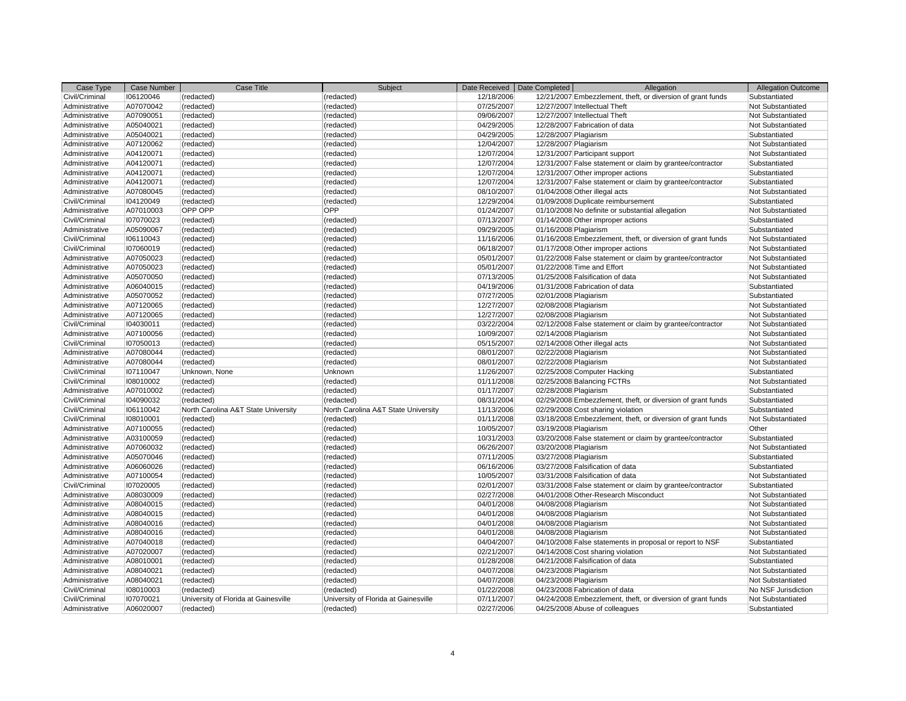| Case Type                        | <b>Case Number</b>     | Case Title                           | Subject                                            |            | Date Received   Date Completed | Allegation                                                            | <b>Allegation Outcome</b>                |
|----------------------------------|------------------------|--------------------------------------|----------------------------------------------------|------------|--------------------------------|-----------------------------------------------------------------------|------------------------------------------|
| Civil/Criminal                   | 106120046              | (redacted)                           | (redacted)                                         | 12/18/2006 |                                | 12/21/2007 Embezzlement, theft, or diversion of grant funds           | Substantiated                            |
| Administrative                   | A07070042              | (redacted)                           | (redacted)                                         | 07/25/2007 |                                | 12/27/2007 Intellectual Theft                                         | Not Substantiated                        |
| Administrative                   | A07090051              | (redacted)                           | (redacted)                                         | 09/06/2007 |                                | 12/27/2007 Intellectual Theft                                         | Not Substantiated                        |
| Administrative                   | A05040021              | (redacted)                           | (redacted)                                         | 04/29/2005 |                                | 12/28/2007 Fabrication of data                                        | Not Substantiated                        |
| Administrative                   | A05040021              | (redacted)                           | (redacted)                                         | 04/29/2005 | 12/28/2007 Plagiarism          |                                                                       | Substantiated                            |
| Administrative                   | A07120062              | (redacted)                           | (redacted)                                         | 12/04/2007 | 12/28/2007 Plagiarism          |                                                                       | Not Substantiated                        |
| Administrative                   | A04120071              | (redacted)                           | (redacted)                                         | 12/07/2004 |                                | 12/31/2007 Participant support                                        | Not Substantiated                        |
| Administrative                   | A04120071              | (redacted)                           | (redacted)                                         | 12/07/2004 |                                | 12/31/2007 False statement or claim by grantee/contractor             | Substantiated                            |
| Administrative                   | A04120071              | (redacted)                           | (redacted)                                         | 12/07/2004 |                                | 12/31/2007 Other improper actions                                     | Substantiated                            |
| Administrative                   | A04120071              | (redacted)                           | (redacted)                                         | 12/07/2004 |                                | 12/31/2007 False statement or claim by grantee/contractor             | Substantiated                            |
| Administrative                   | A07080045              | (redacted)                           | (redacted)                                         | 08/10/2007 |                                | 01/04/2008 Other illegal acts                                         | Not Substantiated                        |
| Civil/Criminal                   | 104120049              | (redacted)                           | (redacted)                                         | 12/29/2004 |                                | 01/09/2008 Duplicate reimbursement                                    | Substantiated                            |
| Administrative                   | A07010003              | OPP OPP                              | <b>OPP</b>                                         | 01/24/2007 |                                | 01/10/2008 No definite or substantial allegation                      | Not Substantiated                        |
| Civil/Criminal                   | 107070023              | (redacted)                           | (redacted)                                         | 07/13/2007 |                                | 01/14/2008 Other improper actions                                     | Substantiated                            |
| Administrative                   | A05090067              | (redacted)                           | (redacted)                                         | 09/29/2005 | 01/16/2008 Plagiarism          |                                                                       | Substantiated                            |
| Civil/Criminal                   | 106110043              | (redacted)                           | (redacted)                                         | 11/16/2006 |                                | 01/16/2008 Embezzlement, theft, or diversion of grant funds           | Not Substantiated                        |
| Civil/Criminal                   | 107060019              | (redacted)                           | (redacted)                                         | 06/18/2007 |                                | 01/17/2008 Other improper actions                                     | Not Substantiated                        |
| Administrative                   | A07050023              | (redacted)                           | (redacted)                                         | 05/01/2007 |                                | 01/22/2008 False statement or claim by grantee/contractor             | Not Substantiated                        |
| Administrative                   | A07050023              | (redacted)                           | (redacted)                                         | 05/01/2007 |                                | 01/22/2008 Time and Effort                                            | Not Substantiated                        |
| Administrative                   | A05070050              | (redacted)                           | (redacted)                                         | 07/13/2005 |                                | 01/25/2008 Falsification of data                                      | Not Substantiated                        |
| Administrative                   | A06040015              | (redacted)                           | (redacted)                                         | 04/19/2006 |                                | 01/31/2008 Fabrication of data                                        | Substantiated                            |
| Administrative                   | A05070052              | (redacted)                           | (redacted)                                         | 07/27/2005 | 02/01/2008 Plagiarism          |                                                                       | Substantiated                            |
| Administrative                   | A07120065              | (redacted)                           | (redacted)                                         | 12/27/2007 | 02/08/2008 Plagiarism          |                                                                       | Not Substantiated                        |
| Administrative                   | A07120065              | (redacted)                           | (redacted)                                         | 12/27/2007 | 02/08/2008 Plagiarism          |                                                                       | Not Substantiated                        |
| Civil/Criminal                   | 104030011              | (redacted)                           | (redacted)                                         | 03/22/2004 |                                | 02/12/2008 False statement or claim by grantee/contractor             | Not Substantiated                        |
| Administrative                   | A07100056              | (redacted)                           | (redacted)                                         | 10/09/2007 | 02/14/2008 Plagiarism          |                                                                       | Not Substantiated                        |
| Civil/Criminal                   | 107050013              | (redacted)                           | (redacted)                                         | 05/15/2007 |                                | 02/14/2008 Other illegal acts                                         | Not Substantiated                        |
| Administrative                   | A07080044              | (redacted)                           | (redacted)                                         | 08/01/2007 | 02/22/2008 Plagiarism          |                                                                       | Not Substantiated                        |
| Administrative                   | A07080044              | (redacted)                           | (redacted)                                         | 08/01/2007 | 02/22/2008 Plagiarism          |                                                                       | Not Substantiated                        |
| Civil/Criminal                   | 107110047              | Unknown, None                        | Unknown                                            | 11/26/2007 |                                | 02/25/2008 Computer Hacking                                           | Substantiated                            |
| Civil/Criminal                   | 108010002              | (redacted)                           | (redacted)                                         | 01/11/2008 |                                | 02/25/2008 Balancing FCTRs                                            | Not Substantiated                        |
| Administrative                   | A07010002              | (redacted)                           | (redacted)                                         | 01/17/2007 | 02/28/2008 Plagiarism          |                                                                       | Substantiated                            |
| Civil/Criminal                   | 104090032              | (redacted)                           | (redacted)                                         | 08/31/2004 |                                | 02/29/2008 Embezzlement, theft, or diversion of grant funds           | Substantiated                            |
| Civil/Criminal                   | 106110042              | North Carolina A&T State University  | North Carolina A&T State University                | 11/13/2006 |                                | 02/29/2008 Cost sharing violation                                     | Substantiated                            |
| Civil/Criminal                   | 108010001              | (redacted)                           | (redacted)                                         | 01/11/2008 |                                | 03/18/2008 Embezzlement, theft, or diversion of grant funds           | Not Substantiated                        |
| Administrative                   | A07100055              | (redacted)                           | (redacted)                                         | 10/05/2007 | 03/19/2008 Plagiarism          |                                                                       | Other                                    |
| Administrative                   | A03100059              | (redacted)                           | (redacted)                                         | 10/31/2003 |                                | 03/20/2008 False statement or claim by grantee/contractor             | Substantiated                            |
| Administrative                   | A07060032              | (redacted)                           | (redacted)                                         | 06/26/2007 | 03/20/2008 Plagiarism          |                                                                       | Not Substantiated                        |
| Administrative                   | A05070046              | (redacted)                           | (redacted)                                         | 07/11/2005 | 03/27/2008 Plagiarism          |                                                                       | Substantiated                            |
| Administrative                   | A06060026              | (redacted)                           | (redacted)                                         | 06/16/2006 |                                | 03/27/2008 Falsification of data                                      | Substantiated                            |
| Administrative                   | A07100054              | (redacted)                           | (redacted)                                         | 10/05/2007 |                                | 03/31/2008 Falsification of data                                      | Not Substantiated                        |
| Civil/Criminal                   | 107020005              | (redacted)                           | (redacted)                                         | 02/01/2007 |                                | 03/31/2008 False statement or claim by grantee/contractor             | Substantiated                            |
| Administrative                   | A08030009              | (redacted)                           | (redacted)                                         | 02/27/2008 |                                | 04/01/2008 Other-Research Misconduct                                  | Not Substantiated                        |
| Administrative                   | A08040015              | (redacted)                           | (redacted)                                         | 04/01/2008 | 04/08/2008 Plagiarism          |                                                                       | Not Substantiated                        |
| Administrative                   | A08040015              | (redacted)                           | (redacted)                                         | 04/01/2008 | 04/08/2008 Plagiarism          |                                                                       | Not Substantiated                        |
| Administrative                   | A08040016              | (redacted)                           | (redacted)                                         | 04/01/2008 | 04/08/2008 Plagiarism          |                                                                       | Not Substantiated                        |
| Administrative                   | A08040016              | (redacted)                           | (redacted)                                         | 04/01/2008 | 04/08/2008 Plagiarism          |                                                                       | Not Substantiated                        |
| Administrative                   | A07040018              | (redacted)                           | (redacted)                                         | 04/04/2007 |                                | 04/10/2008 False statements in proposal or report to NSF              | Substantiated                            |
|                                  | A07020007              | (redacted)                           |                                                    | 02/21/2007 |                                |                                                                       | Not Substantiated                        |
| Administrative<br>Administrative | A08010001              |                                      | (redacted)                                         | 01/28/2008 |                                | 04/14/2008 Cost sharing violation<br>04/21/2008 Falsification of data | Substantiated                            |
| Administrative                   | A08040021              | (redacted)                           | (redacted)                                         | 04/07/2008 |                                |                                                                       | Not Substantiated                        |
| Administrative                   | A08040021              | (redacted)<br>(redacted)             | (redacted)                                         | 04/07/2008 | 04/23/2008 Plagiarism          |                                                                       | Not Substantiated                        |
| Civil/Criminal                   |                        |                                      | (redacted)                                         | 01/22/2008 | 04/23/2008 Plagiarism          | 04/23/2008 Fabrication of data                                        |                                          |
| Civil/Criminal                   | 108010003<br>107070021 | (redacted)                           | (redacted)<br>University of Florida at Gainesville |            |                                |                                                                       | No NSF Jurisdiction<br>Not Substantiated |
|                                  | A06020007              | University of Florida at Gainesville |                                                    | 07/11/2007 |                                | 04/24/2008 Embezzlement, theft, or diversion of grant funds           |                                          |
| Administrative                   |                        | (redacted)                           | (redacted)                                         | 02/27/2006 |                                | 04/25/2008 Abuse of colleagues                                        | Substantiated                            |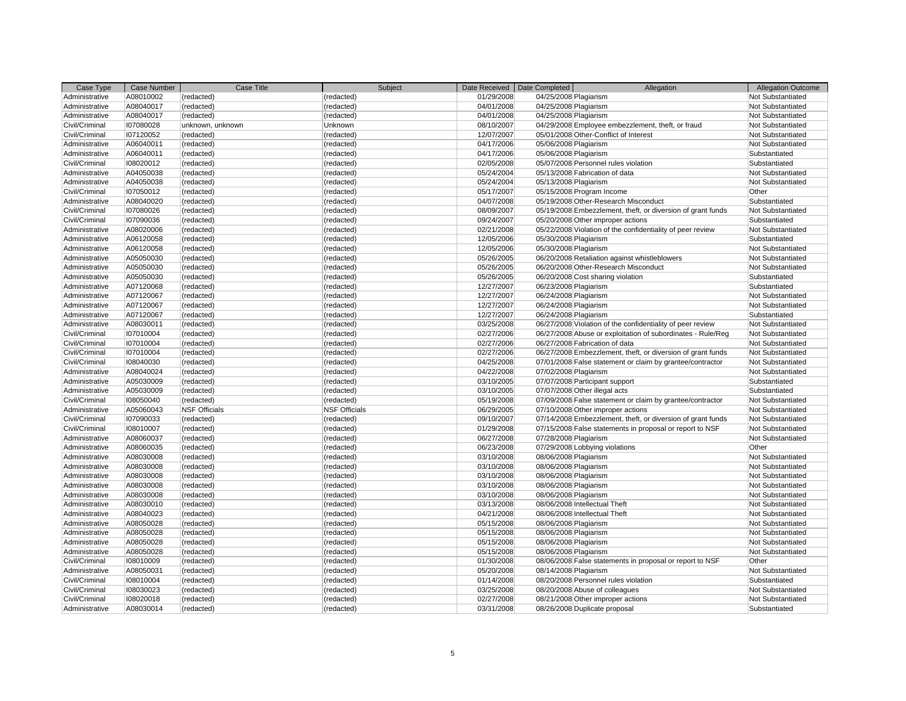| Case Type      | <b>Case Number</b> | Case Title           | Subject                  | Date Received | Date Completed        | Allegation                                                  | <b>Allegation Outcome</b> |
|----------------|--------------------|----------------------|--------------------------|---------------|-----------------------|-------------------------------------------------------------|---------------------------|
| Administrative | A08010002          | (redacted)           | (redacted)               | 01/29/2008    | 04/25/2008 Plagiarism |                                                             | Not Substantiated         |
| Administrative | A08040017          | (redacted)           | (redacted)               | 04/01/2008    | 04/25/2008 Plagiarism |                                                             | Not Substantiated         |
| Administrative | A08040017          | (redacted)           | (redacted)               | 04/01/2008    | 04/25/2008 Plagiarism |                                                             | Not Substantiated         |
| Civil/Criminal | 107080028          | unknown, unknown     | Unknown                  | 08/10/2007    |                       | 04/29/2008 Employee embezzlement, theft, or fraud           | Not Substantiated         |
| Civil/Criminal | 107120052          | (redacted)           | (redacted)               | 12/07/2007    |                       | 05/01/2008 Other-Conflict of Interest                       | Not Substantiated         |
| Administrative | A06040011          | (redacted)           | (redacted)               | 04/17/2006    | 05/06/2008 Plagiarism |                                                             | Not Substantiated         |
| Administrative | A06040011          | (redacted)           | (redacted)               | 04/17/2006    | 05/06/2008 Plagiarism |                                                             | Substantiated             |
| Civil/Criminal | 108020012          | (redacted)           | (redacted)               | 02/05/2008    |                       | 05/07/2008 Personnel rules violation                        | Substantiated             |
| Administrative | A04050038          | (redacted)           | (redacted)               | 05/24/2004    |                       | 05/13/2008 Fabrication of data                              | Not Substantiated         |
| Administrative | A04050038          | (redacted)           | (redacted)               | 05/24/2004    | 05/13/2008 Plagiarism |                                                             | Not Substantiated         |
| Civil/Criminal | 107050012          | (redacted)           | (redacted)               | 05/17/2007    |                       | 05/15/2008 Program Income                                   | Other                     |
| Administrative | A08040020          | (redacted)           | (redacted)               | 04/07/2008    |                       | 05/19/2008 Other-Research Misconduct                        | Substantiated             |
| Civil/Criminal | 107080026          | (redacted)           | (redacted)               | 08/09/2007    |                       | 05/19/2008 Embezzlement, theft, or diversion of grant funds | Not Substantiated         |
| Civil/Criminal | 107090036          | (redacted)           | (redacted)               | 09/24/2007    |                       | 05/20/2008 Other improper actions                           | Substantiated             |
| Administrative | A08020006          | (redacted)           | (redacted)               | 02/21/2008    |                       | 05/22/2008 Violation of the confidentiality of peer review  | Not Substantiated         |
| Administrative | A06120058          | (redacted)           | (redacted)               | 12/05/2006    | 05/30/2008 Plagiarism |                                                             | Substantiated             |
| Administrative | A06120058          | (redacted)           | (redacted)               | 12/05/2006    | 05/30/2008 Plagiarism |                                                             | Not Substantiated         |
| Administrative | A05050030          | (redacted)           | (redacted)               | 05/26/2005    |                       | 06/20/2008 Retaliation against whistleblowers               | Not Substantiated         |
| Administrative | A05050030          | (redacted)           | (redacted)               | 05/26/2005    |                       | 06/20/2008 Other-Research Misconduct                        | Not Substantiated         |
| Administrative | A05050030          | (redacted)           | (redacted)               | 05/26/2005    |                       | 06/20/2008 Cost sharing violation                           | Substantiated             |
| Administrative | A07120068          | (redacted)           | (redacted)               | 12/27/2007    | 06/23/2008 Plagiarism |                                                             | Substantiated             |
| Administrative | A07120067          | (redacted)           | (redacted)               | 12/27/2007    | 06/24/2008 Plagiarism |                                                             | Not Substantiated         |
| Administrative | A07120067          | (redacted)           | (redacted)               | 12/27/2007    | 06/24/2008 Plagiarism |                                                             | Not Substantiated         |
| Administrative | A07120067          | (redacted)           | (redacted)               | 12/27/2007    | 06/24/2008 Plagiarism |                                                             | Substantiated             |
| Administrative | A08030011          | (redacted)           | (redacted)               | 03/25/2008    |                       | 06/27/2008 Violation of the confidentiality of peer review  | Not Substantiated         |
| Civil/Criminal | 107010004          | (redacted)           | (redacted)               | 02/27/2006    |                       | 06/27/2008 Abuse or exploitation of subordinates - Rule/Reg | Not Substantiated         |
| Civil/Criminal | 107010004          | (redacted)           | (redacted)               | 02/27/2006    |                       | 06/27/2008 Fabrication of data                              | Not Substantiated         |
| Civil/Criminal | 107010004          | (redacted)           | (redacted)               | 02/27/2006    |                       | 06/27/2008 Embezzlement, theft, or diversion of grant funds | Not Substantiated         |
| Civil/Criminal | 108040030          | (redacted)           | (redacted)               | 04/25/2008    |                       | 07/01/2008 False statement or claim by grantee/contractor   | Not Substantiated         |
| Administrative | A08040024          | (redacted)           | (redacted)               | 04/22/2008    | 07/02/2008 Plagiarism |                                                             | Not Substantiated         |
| Administrative | A05030009          | (redacted)           | (redacted)               | 03/10/2005    |                       | 07/07/2008 Participant support                              | Substantiated             |
| Administrative | A05030009          | (redacted)           | (redacted)               | 03/10/2005    |                       | 07/07/2008 Other illegal acts                               | Substantiated             |
| Civil/Criminal | 108050040          | (redacted)           | (redacted)               | 05/19/2008    |                       | 07/09/2008 False statement or claim by grantee/contractor   | Not Substantiated         |
| Administrative | A05060043          | <b>NSF Officials</b> | <b>NSF Officials</b>     | 06/29/2005    |                       | 07/10/2008 Other improper actions                           | Not Substantiated         |
| Civil/Criminal | 107090033          | (redacted)           | (redacted)               | 09/10/2007    |                       | 07/14/2008 Embezzlement, theft, or diversion of grant funds | Not Substantiated         |
| Civil/Criminal | 108010007          | (redacted)           | (redacted)               | 01/29/2008    |                       | 07/15/2008 False statements in proposal or report to NSF    | Not Substantiated         |
| Administrative | A08060037          | (redacted)           | (redacted)               | 06/27/2008    | 07/28/2008 Plagiarism |                                                             | Not Substantiated         |
| Administrative | A08060035          | (redacted)           | (redacted)               | 06/23/2008    |                       | 07/29/2008 Lobbying violations                              | Other                     |
| Administrative | A08030008          | (redacted)           | (redacted)               | 03/10/2008    | 08/06/2008 Plagiarism |                                                             | Not Substantiated         |
| Administrative | A08030008          | (redacted)           | (redacted)               | 03/10/2008    | 08/06/2008 Plagiarism |                                                             | Not Substantiated         |
| Administrative | A08030008          | (redacted)           | (redacted)               | 03/10/2008    | 08/06/2008 Plagiarism |                                                             | Not Substantiated         |
| Administrative | A08030008          | (redacted)           | (redacted)               | 03/10/2008    | 08/06/2008 Plagiarism |                                                             | Not Substantiated         |
| Administrative | A08030008          | (redacted)           | (redacted)               | 03/10/2008    | 08/06/2008 Plagiarism |                                                             | Not Substantiated         |
| Administrative | A08030010          | (redacted)           | (redacted)               | 03/13/2008    |                       | 08/06/2008 Intellectual Theft                               | Not Substantiated         |
| Administrative | A08040023          | (redacted)           | (redacted)               | 04/21/2008    |                       | 08/06/2008 Intellectual Theft                               | Not Substantiated         |
| Administrative | A08050028          | (redacted)           | (redacted)               | 05/15/2008    | 08/06/2008 Plagiarism |                                                             | Not Substantiated         |
| Administrative | A08050028          | (redacted)           | (redacted)               | 05/15/2008    | 08/06/2008 Plagiarism |                                                             | Not Substantiated         |
| Administrative | A08050028          | (redacted)           | (redacted)               | 05/15/2008    | 08/06/2008 Plagiarism |                                                             | Not Substantiated         |
| Administrative | A08050028          | (redacted)           | (redacted)               | 05/15/2008    | 08/06/2008 Plagiarism |                                                             | Not Substantiated         |
| Civil/Criminal | 108010009          | (redacted)           | (redacted)               | 01/30/2008    |                       | 08/06/2008 False statements in proposal or report to NSF    | Other                     |
| Administrative | A08050031          | (redacted)           | (redacted)               | 05/20/2008    | 08/14/2008 Plagiarism |                                                             | Not Substantiated         |
| Civil/Criminal | 108010004          | (redacted)           |                          | 01/14/2008    |                       | 08/20/2008 Personnel rules violation                        | Substantiated             |
| Civil/Criminal | 108030023          | (redacted)           | (redacted)<br>(redacted) | 03/25/2008    |                       | 08/20/2008 Abuse of colleagues                              | Not Substantiated         |
| Civil/Criminal | 108020018          | (redacted)           | (redacted)               | 02/27/2008    |                       | 08/21/2008 Other improper actions                           | Not Substantiated         |
| Administrative | A08030014          | (redacted)           | (redacted)               | 03/31/2008    |                       | 08/26/2008 Duplicate proposal                               | Substantiated             |
|                |                    |                      |                          |               |                       |                                                             |                           |